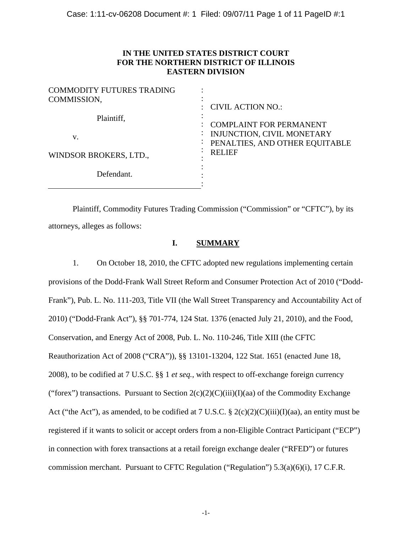## **IN THE UNITED STATES DISTRICT COURT FOR THE NORTHERN DISTRICT OF ILLINOIS EASTERN DIVISION**

| <b>COMMODITY FUTURES TRADING</b><br>COMMISSION, | $\therefore$ CIVIL ACTION NO.:                               |
|-------------------------------------------------|--------------------------------------------------------------|
| Plaintiff,                                      | <b>COMPLAINT FOR PERMANENT</b>                               |
| v.                                              | INJUNCTION, CIVIL MONETARY<br>PENALTIES, AND OTHER EQUITABLE |
| WINDSOR BROKERS, LTD.,                          | <b>RELIEF</b>                                                |
| Defendant.                                      |                                                              |

 Plaintiff, Commodity Futures Trading Commission ("Commission" or "CFTC"), by its attorneys, alleges as follows:

## **I. SUMMARY**

1. On October 18, 2010, the CFTC adopted new regulations implementing certain provisions of the Dodd-Frank Wall Street Reform and Consumer Protection Act of 2010 ("Dodd-Frank"), Pub. L. No. 111-203, Title VII (the Wall Street Transparency and Accountability Act of 2010) ("Dodd-Frank Act"), §§ 701-774, 124 Stat. 1376 (enacted July 21, 2010), and the Food, Conservation, and Energy Act of 2008, Pub. L. No. 110-246, Title XIII (the CFTC Reauthorization Act of 2008 ("CRA")), §§ 13101-13204, 122 Stat. 1651 (enacted June 18, 2008), to be codified at 7 U.S.C. §§ 1 *et seq.*, with respect to off-exchange foreign currency ("forex") transactions. Pursuant to Section  $2(c)(2)(C)(iii)(I)(aa)$  of the Commodity Exchange Act ("the Act"), as amended, to be codified at 7 U.S.C. § 2(c)(2)(C)(iii)(I)(aa), an entity must be registered if it wants to solicit or accept orders from a non-Eligible Contract Participant ("ECP") in connection with forex transactions at a retail foreign exchange dealer ("RFED") or futures commission merchant. Pursuant to CFTC Regulation ("Regulation") 5.3(a)(6)(i), 17 C.F.R.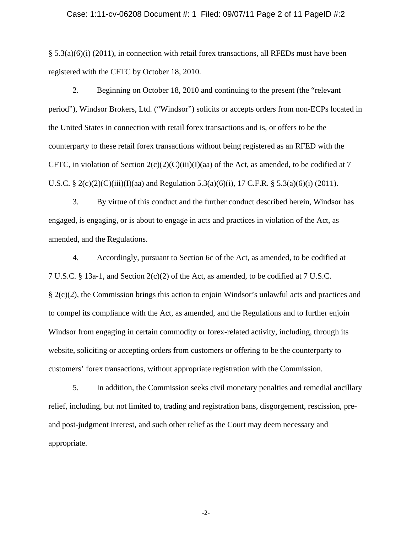#### Case: 1:11-cv-06208 Document #: 1 Filed: 09/07/11 Page 2 of 11 PageID #:2

 $\S$  5.3(a)(6)(i) (2011), in connection with retail forex transactions, all RFEDs must have been registered with the CFTC by October 18, 2010.

2. Beginning on October 18, 2010 and continuing to the present (the "relevant period"), Windsor Brokers, Ltd. ("Windsor") solicits or accepts orders from non-ECPs located in the United States in connection with retail forex transactions and is, or offers to be the counterparty to these retail forex transactions without being registered as an RFED with the CFTC, in violation of Section  $2(c)(2)(C)(iii)(I)(aa)$  of the Act, as amended, to be codified at 7 U.S.C. § 2(c)(2)(C)(iii)(I)(aa) and Regulation 5.3(a)(6)(i), 17 C.F.R. § 5.3(a)(6)(i) (2011).

3. By virtue of this conduct and the further conduct described herein, Windsor has engaged, is engaging, or is about to engage in acts and practices in violation of the Act, as amended, and the Regulations.

4. Accordingly, pursuant to Section 6c of the Act, as amended, to be codified at 7 U.S.C. § 13a-1, and Section 2(c)(2) of the Act, as amended, to be codified at 7 U.S.C. § 2(c)(2), the Commission brings this action to enjoin Windsor's unlawful acts and practices and to compel its compliance with the Act, as amended, and the Regulations and to further enjoin Windsor from engaging in certain commodity or forex-related activity, including, through its website, soliciting or accepting orders from customers or offering to be the counterparty to customers' forex transactions, without appropriate registration with the Commission.

5. In addition, the Commission seeks civil monetary penalties and remedial ancillary relief, including, but not limited to, trading and registration bans, disgorgement, rescission, preand post-judgment interest, and such other relief as the Court may deem necessary and appropriate.

-2-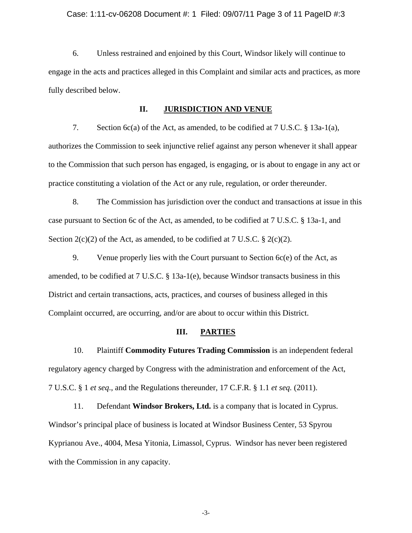#### Case: 1:11-cv-06208 Document #: 1 Filed: 09/07/11 Page 3 of 11 PageID #:3

6. Unless restrained and enjoined by this Court, Windsor likely will continue to engage in the acts and practices alleged in this Complaint and similar acts and practices, as more fully described below.

#### **II. JURISDICTION AND VENUE**

7. Section 6c(a) of the Act, as amended, to be codified at 7 U.S.C. § 13a-1(a), authorizes the Commission to seek injunctive relief against any person whenever it shall appear to the Commission that such person has engaged, is engaging, or is about to engage in any act or practice constituting a violation of the Act or any rule, regulation, or order thereunder.

8. The Commission has jurisdiction over the conduct and transactions at issue in this case pursuant to Section 6c of the Act, as amended, to be codified at 7 U.S.C. § 13a-1, and Section  $2(c)(2)$  of the Act, as amended, to be codified at 7 U.S.C. §  $2(c)(2)$ .

9. Venue properly lies with the Court pursuant to Section 6c(e) of the Act, as amended, to be codified at 7 U.S.C. § 13a-1(e), because Windsor transacts business in this District and certain transactions, acts, practices, and courses of business alleged in this Complaint occurred, are occurring, and/or are about to occur within this District.

#### **III. PARTIES**

10. Plaintiff **Commodity Futures Trading Commission** is an independent federal regulatory agency charged by Congress with the administration and enforcement of the Act, 7 U.S.C. § 1 *et seq*., and the Regulations thereunder, 17 C.F.R. § 1.1 *et seq.* (2011).

11. Defendant **Windsor Brokers, Ltd.** is a company that is located in Cyprus. Windsor's principal place of business is located at Windsor Business Center, 53 Spyrou Kyprianou Ave., 4004, Mesa Yitonia, Limassol, Cyprus. Windsor has never been registered with the Commission in any capacity.

-3-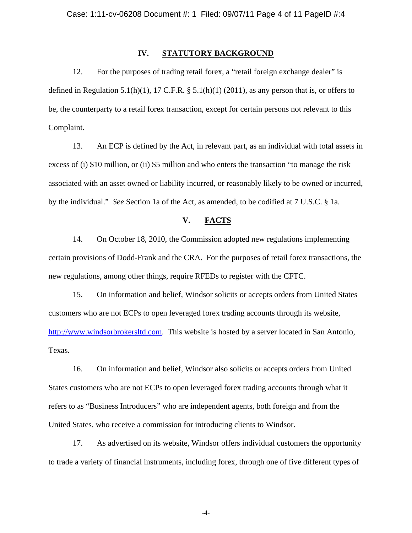#### **IV. STATUTORY BACKGROUND**

12. For the purposes of trading retail forex, a "retail foreign exchange dealer" is defined in Regulation 5.1(h)(1), 17 C.F.R.  $\S$  5.1(h)(1) (2011), as any person that is, or offers to be, the counterparty to a retail forex transaction, except for certain persons not relevant to this Complaint.

13. An ECP is defined by the Act, in relevant part, as an individual with total assets in excess of (i) \$10 million, or (ii) \$5 million and who enters the transaction "to manage the risk associated with an asset owned or liability incurred, or reasonably likely to be owned or incurred, by the individual." *See* Section 1a of the Act, as amended, to be codified at 7 U.S.C. § 1a.

### **V. FACTS**

14. On October 18, 2010, the Commission adopted new regulations implementing certain provisions of Dodd-Frank and the CRA. For the purposes of retail forex transactions, the new regulations, among other things, require RFEDs to register with the CFTC.

15. On information and belief, Windsor solicits or accepts orders from United States customers who are not ECPs to open leveraged forex trading accounts through its website, http://www.windsorbrokersltd.com. This website is hosted by a server located in San Antonio, Texas.

16. On information and belief, Windsor also solicits or accepts orders from United States customers who are not ECPs to open leveraged forex trading accounts through what it refers to as "Business Introducers" who are independent agents, both foreign and from the United States, who receive a commission for introducing clients to Windsor.

17. As advertised on its website, Windsor offers individual customers the opportunity to trade a variety of financial instruments, including forex, through one of five different types of

-4-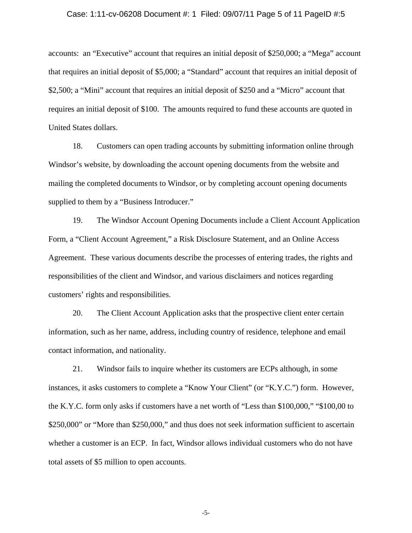#### Case: 1:11-cv-06208 Document #: 1 Filed: 09/07/11 Page 5 of 11 PageID #:5

accounts: an "Executive" account that requires an initial deposit of \$250,000; a "Mega" account that requires an initial deposit of \$5,000; a "Standard" account that requires an initial deposit of \$2,500; a "Mini" account that requires an initial deposit of \$250 and a "Micro" account that requires an initial deposit of \$100. The amounts required to fund these accounts are quoted in United States dollars.

18. Customers can open trading accounts by submitting information online through Windsor's website, by downloading the account opening documents from the website and mailing the completed documents to Windsor, or by completing account opening documents supplied to them by a "Business Introducer."

19. The Windsor Account Opening Documents include a Client Account Application Form, a "Client Account Agreement," a Risk Disclosure Statement, and an Online Access Agreement. These various documents describe the processes of entering trades, the rights and responsibilities of the client and Windsor, and various disclaimers and notices regarding customers' rights and responsibilities.

20. The Client Account Application asks that the prospective client enter certain information, such as her name, address, including country of residence, telephone and email contact information, and nationality.

21. Windsor fails to inquire whether its customers are ECPs although, in some instances, it asks customers to complete a "Know Your Client" (or "K.Y.C.") form. However, the K.Y.C. form only asks if customers have a net worth of "Less than \$100,000," "\$100,00 to \$250,000" or "More than \$250,000," and thus does not seek information sufficient to ascertain whether a customer is an ECP. In fact, Windsor allows individual customers who do not have total assets of \$5 million to open accounts.

-5-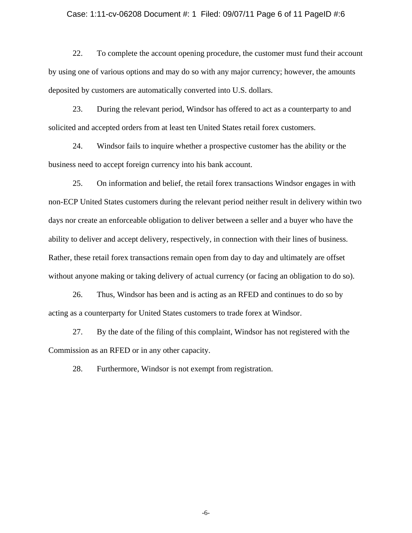#### Case: 1:11-cv-06208 Document #: 1 Filed: 09/07/11 Page 6 of 11 PageID #:6

22. To complete the account opening procedure, the customer must fund their account by using one of various options and may do so with any major currency; however, the amounts deposited by customers are automatically converted into U.S. dollars.

23. During the relevant period, Windsor has offered to act as a counterparty to and solicited and accepted orders from at least ten United States retail forex customers.

24. Windsor fails to inquire whether a prospective customer has the ability or the business need to accept foreign currency into his bank account.

25. On information and belief, the retail forex transactions Windsor engages in with non-ECP United States customers during the relevant period neither result in delivery within two days nor create an enforceable obligation to deliver between a seller and a buyer who have the ability to deliver and accept delivery, respectively, in connection with their lines of business. Rather, these retail forex transactions remain open from day to day and ultimately are offset without anyone making or taking delivery of actual currency (or facing an obligation to do so).

26. Thus, Windsor has been and is acting as an RFED and continues to do so by acting as a counterparty for United States customers to trade forex at Windsor.

27. By the date of the filing of this complaint, Windsor has not registered with the Commission as an RFED or in any other capacity.

28. Furthermore, Windsor is not exempt from registration.

-6-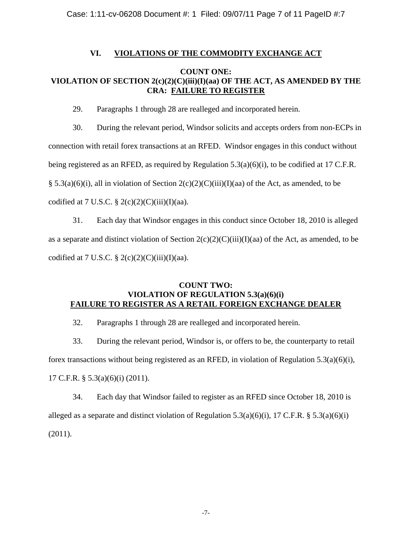Case: 1:11-cv-06208 Document #: 1 Filed: 09/07/11 Page 7 of 11 PageID #:7

## **VI. VIOLATIONS OF THE COMMODITY EXCHANGE ACT**

## **COUNT ONE: VIOLATION OF SECTION 2(c)(2)(C)(iii)(I)(aa) OF THE ACT, AS AMENDED BY THE CRA: FAILURE TO REGISTER**

29. Paragraphs 1 through 28 are realleged and incorporated herein.

30. During the relevant period, Windsor solicits and accepts orders from non-ECPs in connection with retail forex transactions at an RFED. Windsor engages in this conduct without being registered as an RFED, as required by Regulation 5.3(a)(6)(i), to be codified at 17 C.F.R. § 5.3(a)(6)(i), all in violation of Section  $2(c)(2)(C)(iii)(I)(aa)$  of the Act, as amended, to be codified at 7 U.S.C.  $\S 2(c)(2)(C)(iii)(I)(aa)$ .

31. Each day that Windsor engages in this conduct since October 18, 2010 is alleged as a separate and distinct violation of Section  $2(c)(2)(C)(iii)(I)(aa)$  of the Act, as amended, to be codified at 7 U.S.C.  $\S 2(c)(2)(C)(iii)(I)(aa)$ .

## **COUNT TWO: VIOLATION OF REGULATION 5.3(a)(6)(i) FAILURE TO REGISTER AS A RETAIL FOREIGN EXCHANGE DEALER**

32. Paragraphs 1 through 28 are realleged and incorporated herein.

33. During the relevant period, Windsor is, or offers to be, the counterparty to retail forex transactions without being registered as an RFED, in violation of Regulation 5.3(a)(6)(i), 17 C.F.R. § 5.3(a)(6)(i) (2011).

34. Each day that Windsor failed to register as an RFED since October 18, 2010 is alleged as a separate and distinct violation of Regulation 5.3(a)(6)(i), 17 C.F.R. § 5.3(a)(6)(i) (2011).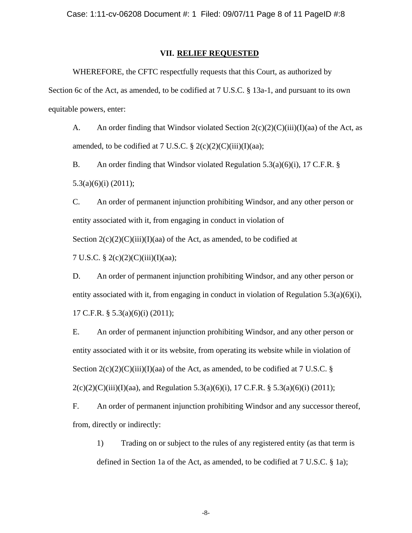#### **VII. RELIEF REQUESTED**

WHEREFORE, the CFTC respectfully requests that this Court, as authorized by Section 6c of the Act, as amended, to be codified at 7 U.S.C. § 13a-1, and pursuant to its own equitable powers, enter:

A. An order finding that Windsor violated Section  $2(c)(2)(C)(iii)(I)(aa)$  of the Act, as amended, to be codified at 7 U.S.C.  $\S 2(c)(2)(C)(iii)(I)(aa);$ 

B. An order finding that Windsor violated Regulation 5.3(a)(6)(i), 17 C.F.R. § 5.3(a)(6)(i) (2011);

C. An order of permanent injunction prohibiting Windsor, and any other person or entity associated with it, from engaging in conduct in violation of Section  $2(c)(2)(C)(iii)(I)(aa)$  of the Act, as amended, to be codified at

7 U.S.C. § 2(c)(2)(C)(iii)(I)(aa);

D. An order of permanent injunction prohibiting Windsor, and any other person or entity associated with it, from engaging in conduct in violation of Regulation  $5.3(a)(6)(i)$ , 17 C.F.R. § 5.3(a)(6)(i) (2011);

E. An order of permanent injunction prohibiting Windsor, and any other person or entity associated with it or its website, from operating its website while in violation of Section  $2(c)(2)(C)(iii)(I)(aa)$  of the Act, as amended, to be codified at 7 U.S.C. §  $2(c)(2)(C)(iii)(I)(aa)$ , and Regulation 5.3(a)(6)(i), 17 C.F.R. § 5.3(a)(6)(i) (2011);

F. An order of permanent injunction prohibiting Windsor and any successor thereof, from, directly or indirectly:

1) Trading on or subject to the rules of any registered entity (as that term is defined in Section 1a of the Act, as amended, to be codified at 7 U.S.C. § 1a);

-8-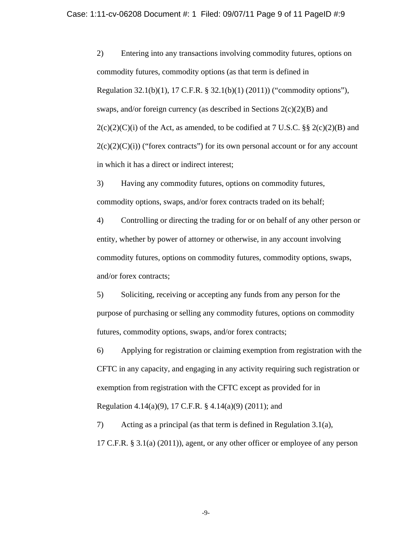2) Entering into any transactions involving commodity futures, options on commodity futures, commodity options (as that term is defined in Regulation 32.1(b)(1), 17 C.F.R. § 32.1(b)(1) (2011)) ("commodity options"), swaps, and/or foreign currency (as described in Sections  $2(c)(2)(B)$  and  $2(c)(2)(C)(i)$  of the Act, as amended, to be codified at 7 U.S.C. §§  $2(c)(2)(B)$  and  $2(c)(2)(C)(i)$  ("forex contracts") for its own personal account or for any account in which it has a direct or indirect interest;

3) Having any commodity futures, options on commodity futures, commodity options, swaps, and/or forex contracts traded on its behalf;

4) Controlling or directing the trading for or on behalf of any other person or entity, whether by power of attorney or otherwise, in any account involving commodity futures, options on commodity futures, commodity options, swaps, and/or forex contracts;

5) Soliciting, receiving or accepting any funds from any person for the purpose of purchasing or selling any commodity futures, options on commodity futures, commodity options, swaps, and/or forex contracts;

6) Applying for registration or claiming exemption from registration with the CFTC in any capacity, and engaging in any activity requiring such registration or exemption from registration with the CFTC except as provided for in Regulation 4.14(a)(9), 17 C.F.R. § 4.14(a)(9) (2011); and

7) Acting as a principal (as that term is defined in Regulation 3.1(a), 17 C.F.R. § 3.1(a) (2011)), agent, or any other officer or employee of any person

-9-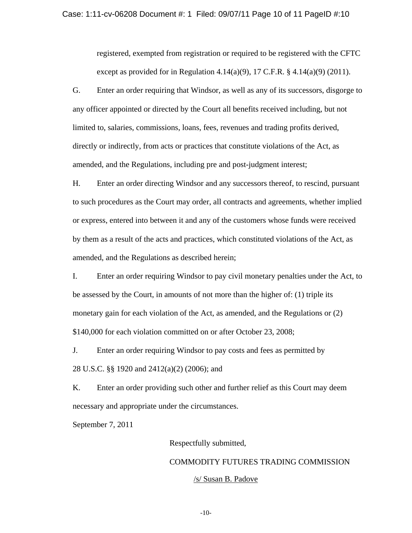#### Case: 1:11-cv-06208 Document #: 1 Filed: 09/07/11 Page 10 of 11 PageID #:10

registered, exempted from registration or required to be registered with the CFTC except as provided for in Regulation 4.14(a)(9), 17 C.F.R.  $\S$  4.14(a)(9) (2011).

G. Enter an order requiring that Windsor, as well as any of its successors, disgorge to any officer appointed or directed by the Court all benefits received including, but not limited to, salaries, commissions, loans, fees, revenues and trading profits derived, directly or indirectly, from acts or practices that constitute violations of the Act, as amended, and the Regulations, including pre and post-judgment interest;

H. Enter an order directing Windsor and any successors thereof, to rescind, pursuant to such procedures as the Court may order, all contracts and agreements, whether implied or express, entered into between it and any of the customers whose funds were received by them as a result of the acts and practices, which constituted violations of the Act, as amended, and the Regulations as described herein;

I. Enter an order requiring Windsor to pay civil monetary penalties under the Act, to be assessed by the Court, in amounts of not more than the higher of: (1) triple its monetary gain for each violation of the Act, as amended, and the Regulations or (2) \$140,000 for each violation committed on or after October 23, 2008;

J. Enter an order requiring Windsor to pay costs and fees as permitted by 28 U.S.C. §§ 1920 and 2412(a)(2) (2006); and

K. Enter an order providing such other and further relief as this Court may deem necessary and appropriate under the circumstances.

September 7, 2011

Respectfully submitted,

# COMMODITY FUTURES TRADING COMMISSION /s/ Susan B. Padove

-10-